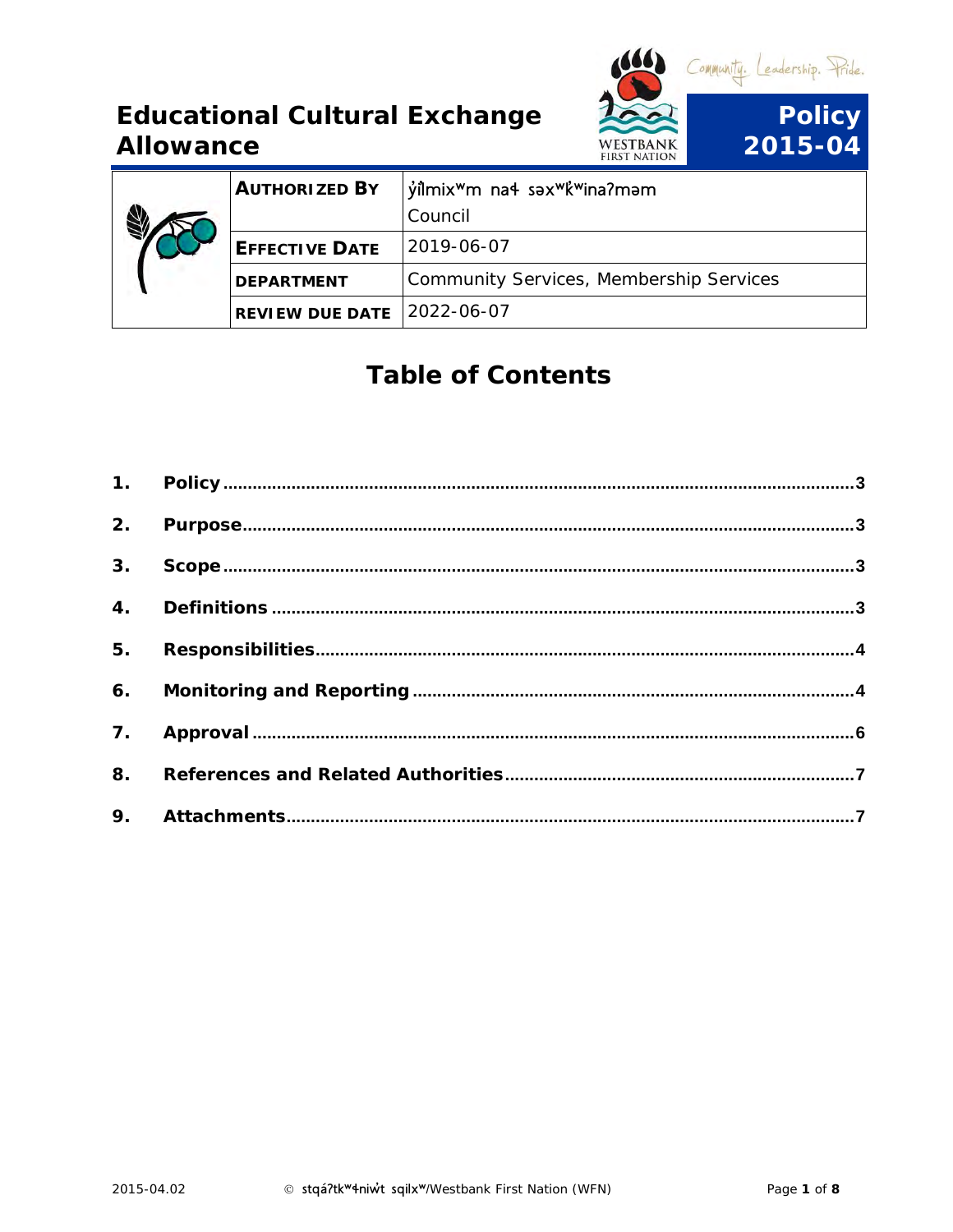

| AUTHORIZED BY              | $\frac{1}{2}$ yilmix <sup>w</sup> m na4 səx <sup>w</sup> k <sup>w</sup> ina?məm<br>Council |
|----------------------------|--------------------------------------------------------------------------------------------|
| EFFECTIVE DATE             | $ 2019-06-07$                                                                              |
| DEPARTMENT                 | Community Services, Membership Services                                                    |
| REVIEW DUE DATE 2022-06-07 |                                                                                            |

# Table of Contents

| 3. |  |
|----|--|
|    |  |
|    |  |
|    |  |
|    |  |
|    |  |
|    |  |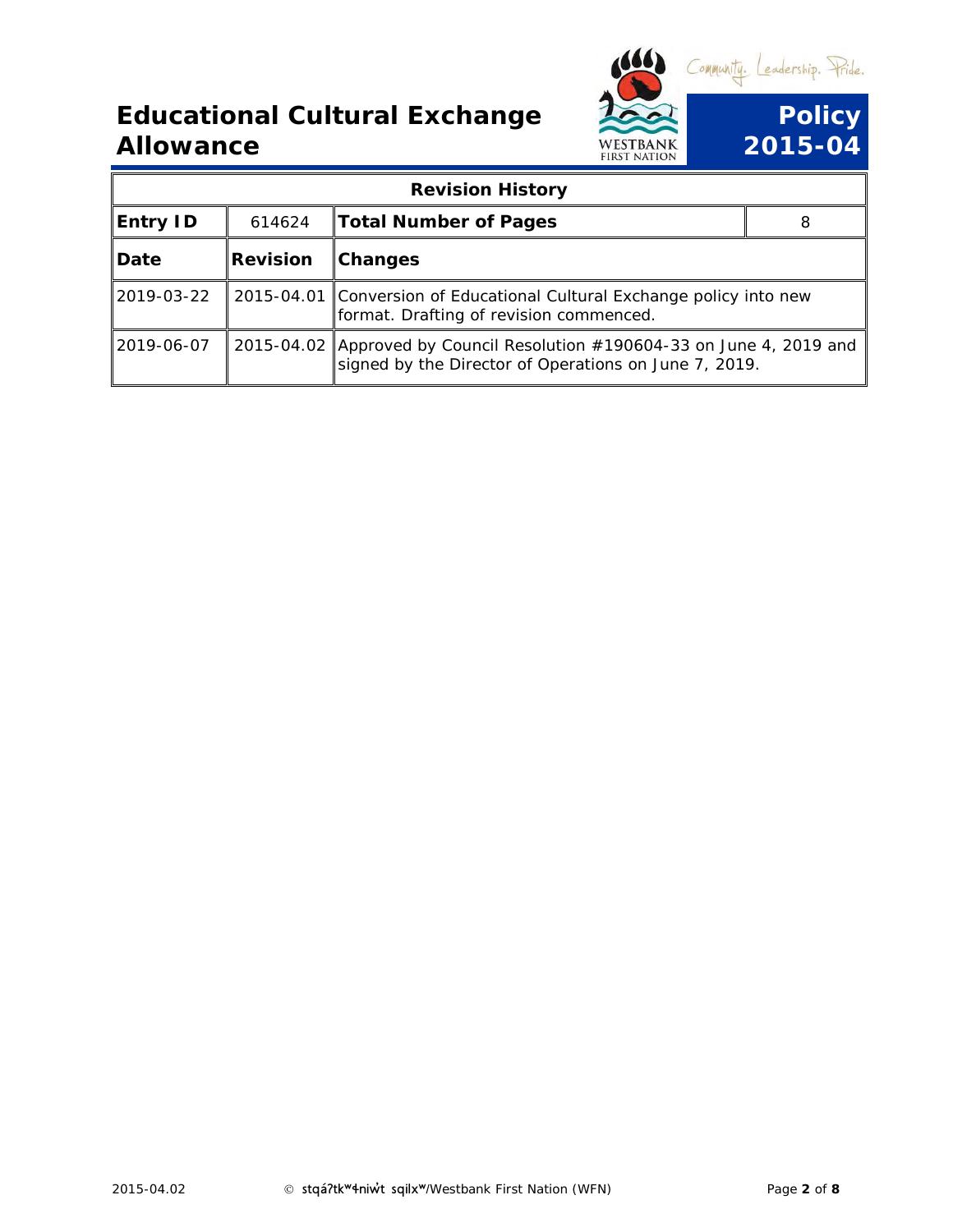

|            |          | <b>Revision History</b>                                                                                                           |  |
|------------|----------|-----------------------------------------------------------------------------------------------------------------------------------|--|
| Entry ID   | 614624   | <b>Total Number of Pages</b>                                                                                                      |  |
| Date       | Revision | Changes                                                                                                                           |  |
| 2019-03-22 |          | 2015-04.01 Conversion of Educational Cultural Exchange policy into new<br>format. Drafting of revision commenced.                 |  |
| 2019-06-07 |          | 2015-04.02 Approved by Council Resolution #190604-33 on June 4, 2019 and<br>signed by the Director of Operations on June 7, 2019. |  |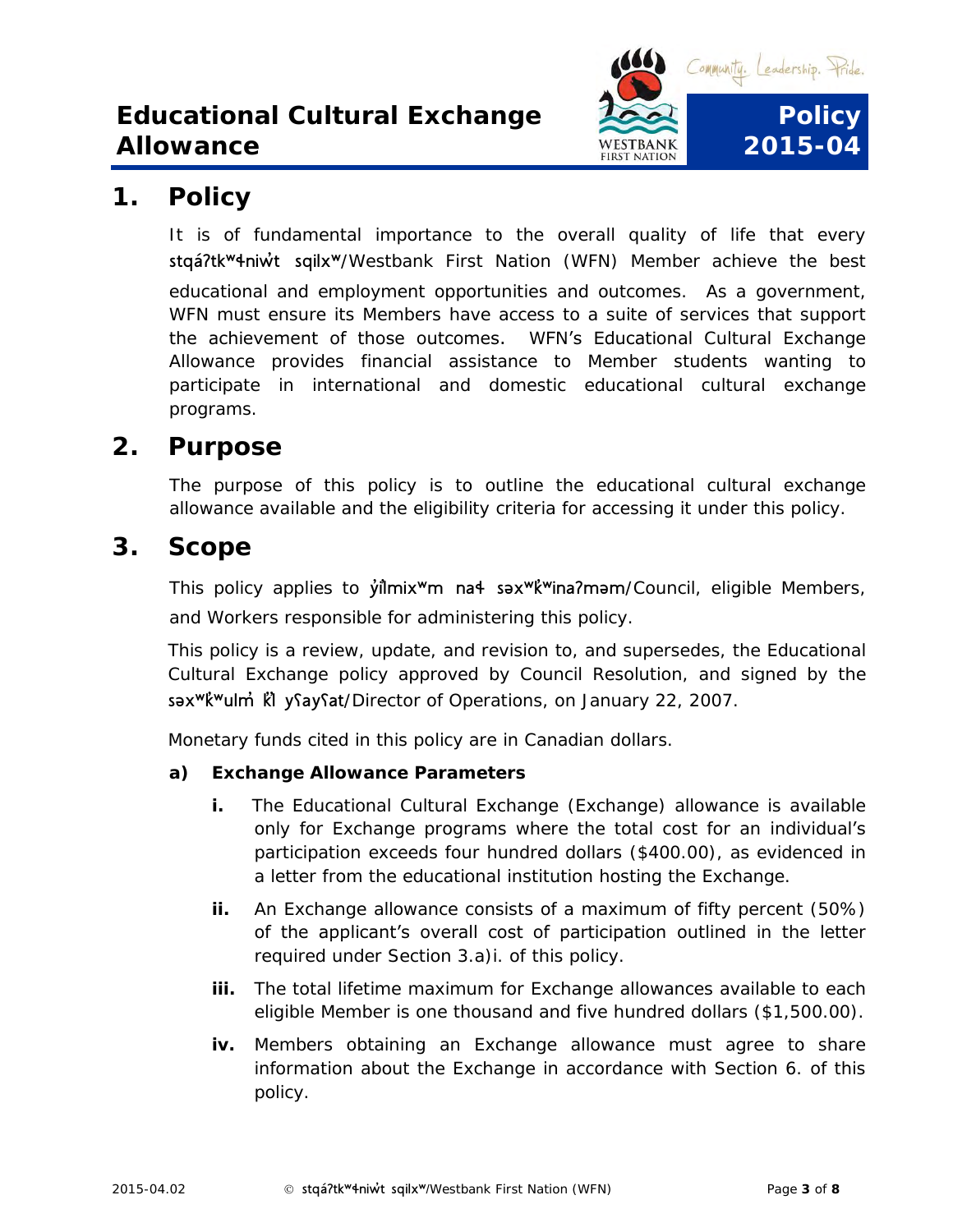

### <span id="page-2-0"></span>**1. Policy**

It is of fundamental importance to the overall quality of life that every stqá?tk<sup>w</sup>4niw<sup>U</sup> sqilx<sup>w</sup>/Westbank First Nation (WFN) Member achieve the best educational and employment opportunities and outcomes. As a government, WFN must ensure its Members have access to a suite of services that support the achievement of those outcomes. WFN's Educational Cultural Exchange Allowance provides financial assistance to Member students wanting to participate in international and domestic educational cultural exchange programs.

#### <span id="page-2-1"></span>**2. Purpose**

The purpose of this policy is to outline the educational cultural exchange allowance available and the eligibility criteria for accessing it under this policy.

<span id="page-2-3"></span><span id="page-2-2"></span>**3. Scope**

This policy applies to *y*ilmix<sup>w</sup>m na<sup>4</sup> səx<sup>w</sup>k<sup>'w</sup>ina?məm/Council, eligible Members, and Workers responsible for administering this policy.

This policy is a review, update, and revision to, and supersedes, the Educational Cultural Exchange policy approved by Council Resolution, and signed by the səx<sup>w</sup>k<sup>w</sup>ulm<sup>'</sup> kl ysaysat/Director of Operations, on January 22, 2007.

Monetary funds cited in this policy are in Canadian dollars.

- **a) Exchange Allowance Parameters**
	- **i.** The Educational Cultural Exchange (Exchange) allowance is available only for Exchange programs where the total cost for an individual's participation exceeds four hundred dollars (\$400.00), as evidenced in a letter from the educational institution hosting the Exchange.
	- **ii.** An Exchange allowance consists of a maximum of fifty percent (50%) of the applicant's overall cost of participation outlined in the letter required under Section 3.a)i. of this policy.
	- **iii.** The total lifetime maximum for Exchange allowances available to each eligible Member is one thousand and five hundred dollars (\$1,500.00).
	- **iv.** Members obtaining an Exchange allowance must agree to share information about the Exchange in accordance with Section 6. of this policy.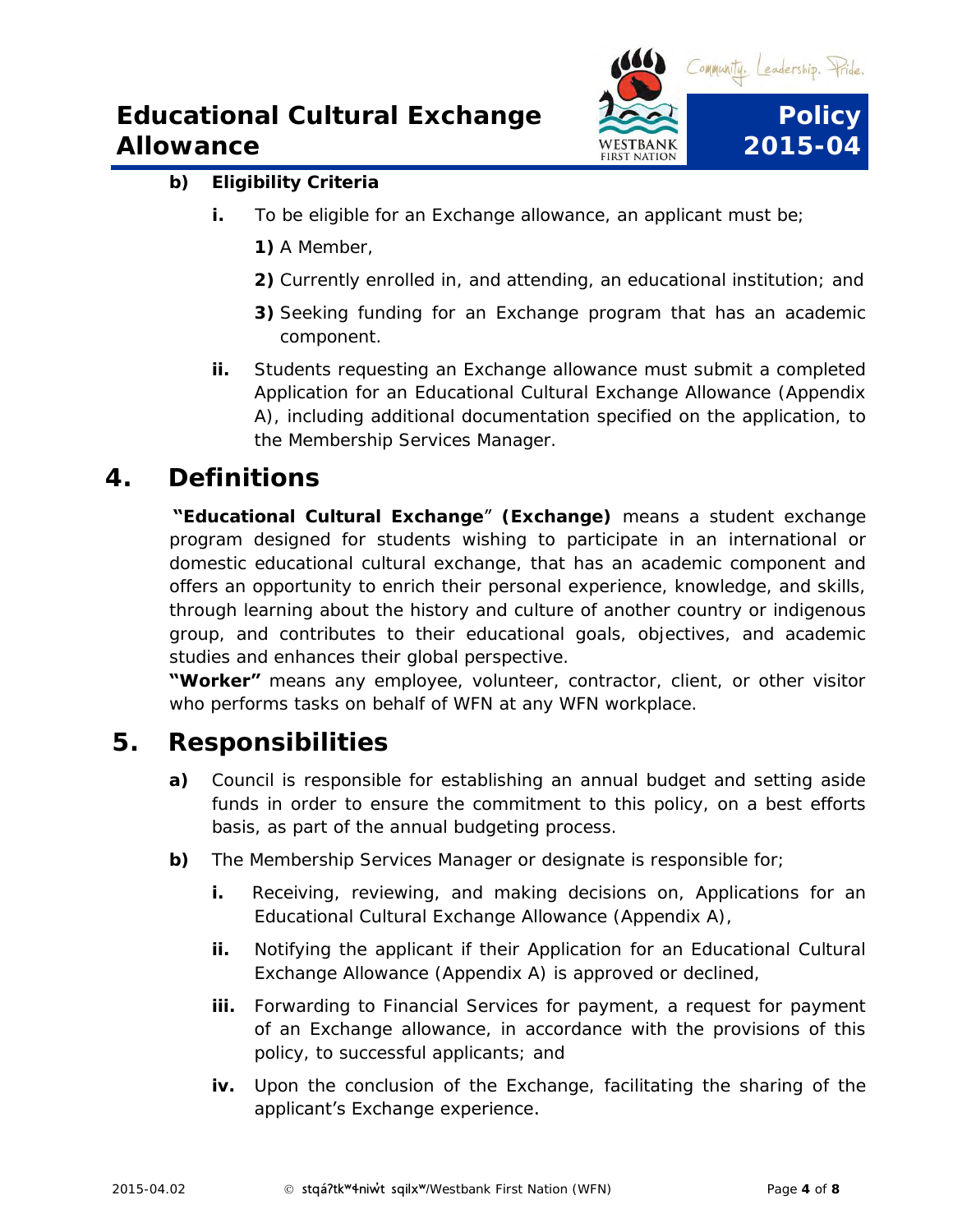

#### **b) Eligibility Criteria**

- **i.** To be eligible for an Exchange allowance, an applicant must be;
	- **1)** A Member,
	- **2)** Currently enrolled in, and attending, an educational institution; and
	- **3)** Seeking funding for an Exchange program that has an academic component.
- **ii.** Students requesting an Exchange allowance must submit a completed Application for an Educational Cultural Exchange Allowance (Appendix A), including additional documentation specified on the application, to the Membership Services Manager.

#### **4. Definitions**

**"Educational Cultural Exchange**" **(Exchange)** means a student exchange program designed for students wishing to participate in an international or domestic educational cultural exchange, that has an academic component and offers an opportunity to enrich their personal experience, knowledge, and skills, through learning about the history and culture of another country or indigenous group, and contributes to their educational goals, objectives, and academic studies and enhances their global perspective.

**"Worker"** means any employee, volunteer, contractor, client, or other visitor who performs tasks on behalf of WFN at any WFN workplace.

#### <span id="page-3-1"></span><span id="page-3-0"></span>**5. Responsibilities**

- **a)** Council is responsible for establishing an annual budget and setting aside funds in order to ensure the commitment to this policy, on a best efforts basis, as part of the annual budgeting process.
- **b)** The Membership Services Manager or designate is responsible for;
	- **i.** Receiving, reviewing, and making decisions on, Applications for an Educational Cultural Exchange Allowance (Appendix A),
	- **ii.** Notifying the applicant if their Application for an Educational Cultural Exchange Allowance (Appendix A) is approved or declined,
	- **iii.** Forwarding to Financial Services for payment, a request for payment of an Exchange allowance, in accordance with the provisions of this policy, to successful applicants; and
	- **iv.** Upon the conclusion of the Exchange, facilitating the sharing of the applicant's Exchange experience.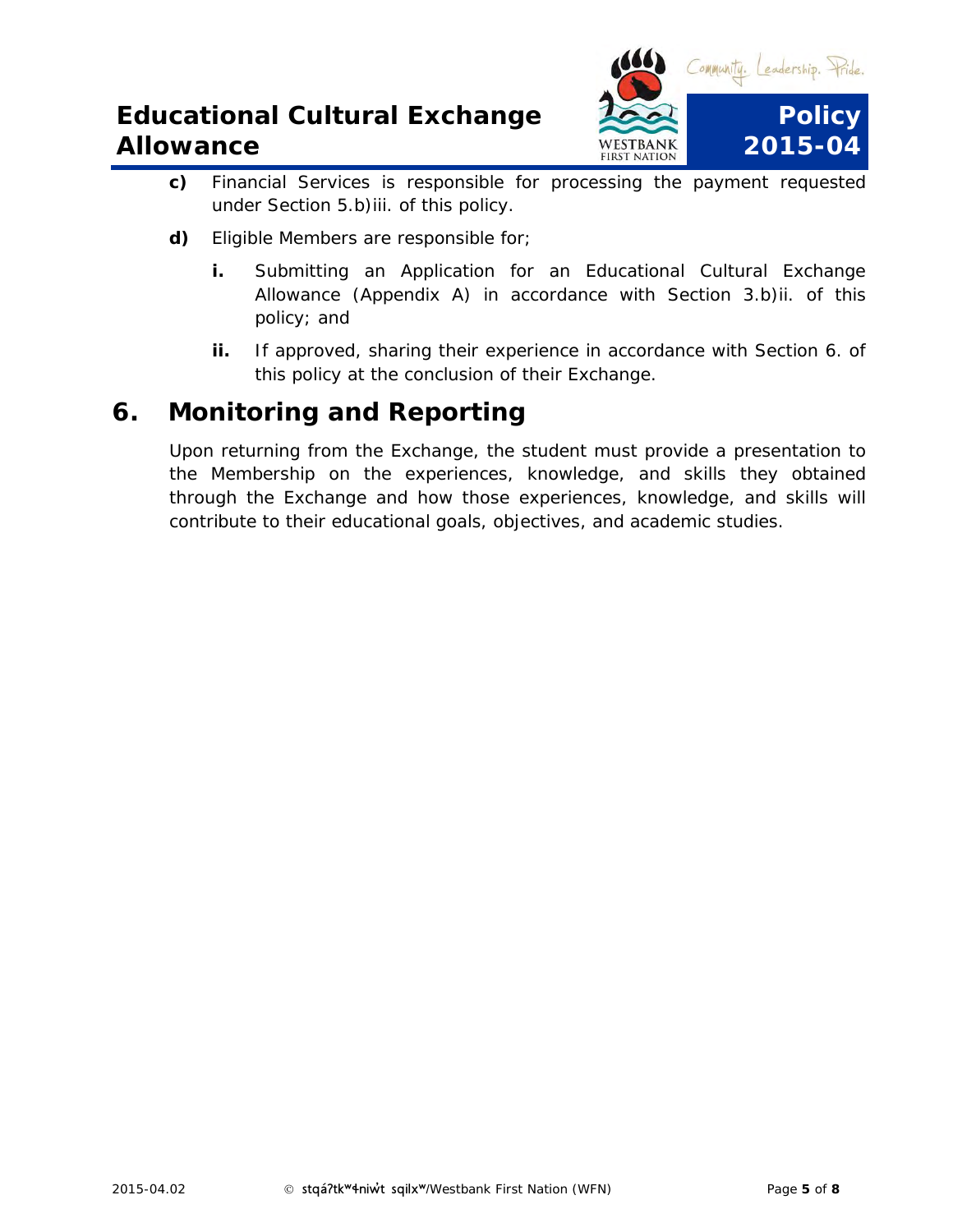

- **c)** Financial Services is responsible for processing the payment requested under Section 5.b)iii. of this policy.
- **d)** Eligible Members are responsible for;
	- **i.** Submitting an Application for an Educational Cultural Exchange Allowance (Appendix A) in accordance with Section 3.b)ii. of this policy; and
	- **ii.** If approved, sharing their experience in accordance with Section 6. of this policy at the conclusion of their Exchange.

#### **6. Monitoring and Reporting**

<span id="page-4-0"></span>Upon returning from the Exchange, the student must provide a presentation to the Membership on the experiences, knowledge, and skills they obtained through the Exchange and how those experiences, knowledge, and skills will contribute to their educational goals, objectives, and academic studies.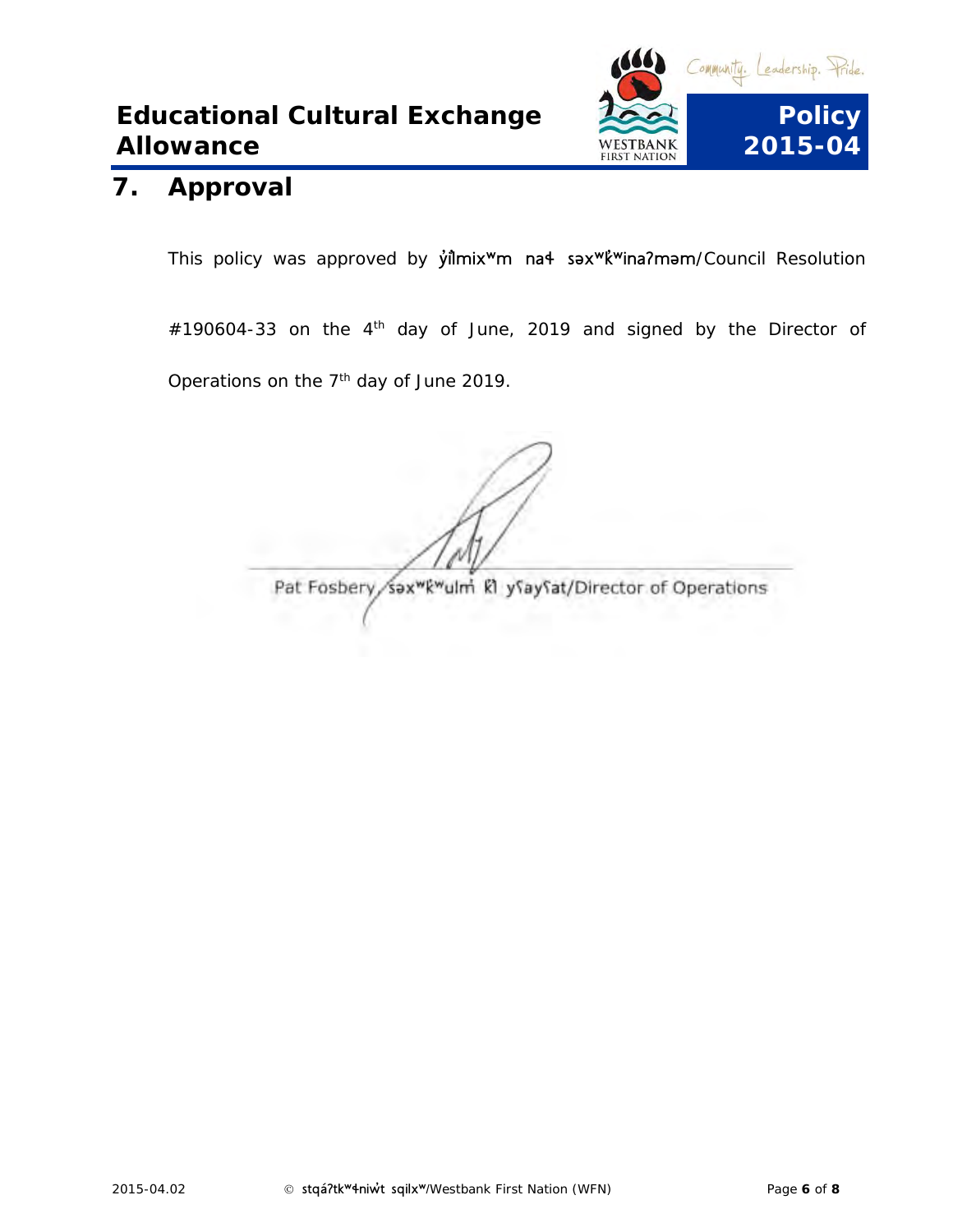

#### **7. Approval**

This policy was approved by *y*ilmix<sup>w</sup>m na<sup>4</sup> sax<sup>w</sup>k<sup>w</sup>ina?mam/Council Resolution

 $\#190604$ -33 on the 4<sup>th</sup> day of June, 2019 and signed by the Director of Operations on the  $7<sup>th</sup>$  day of June 2019.

<span id="page-5-0"></span>Pat Fosbery sax<sup>wkw</sup>ulm kl ysaysat/Director of Operations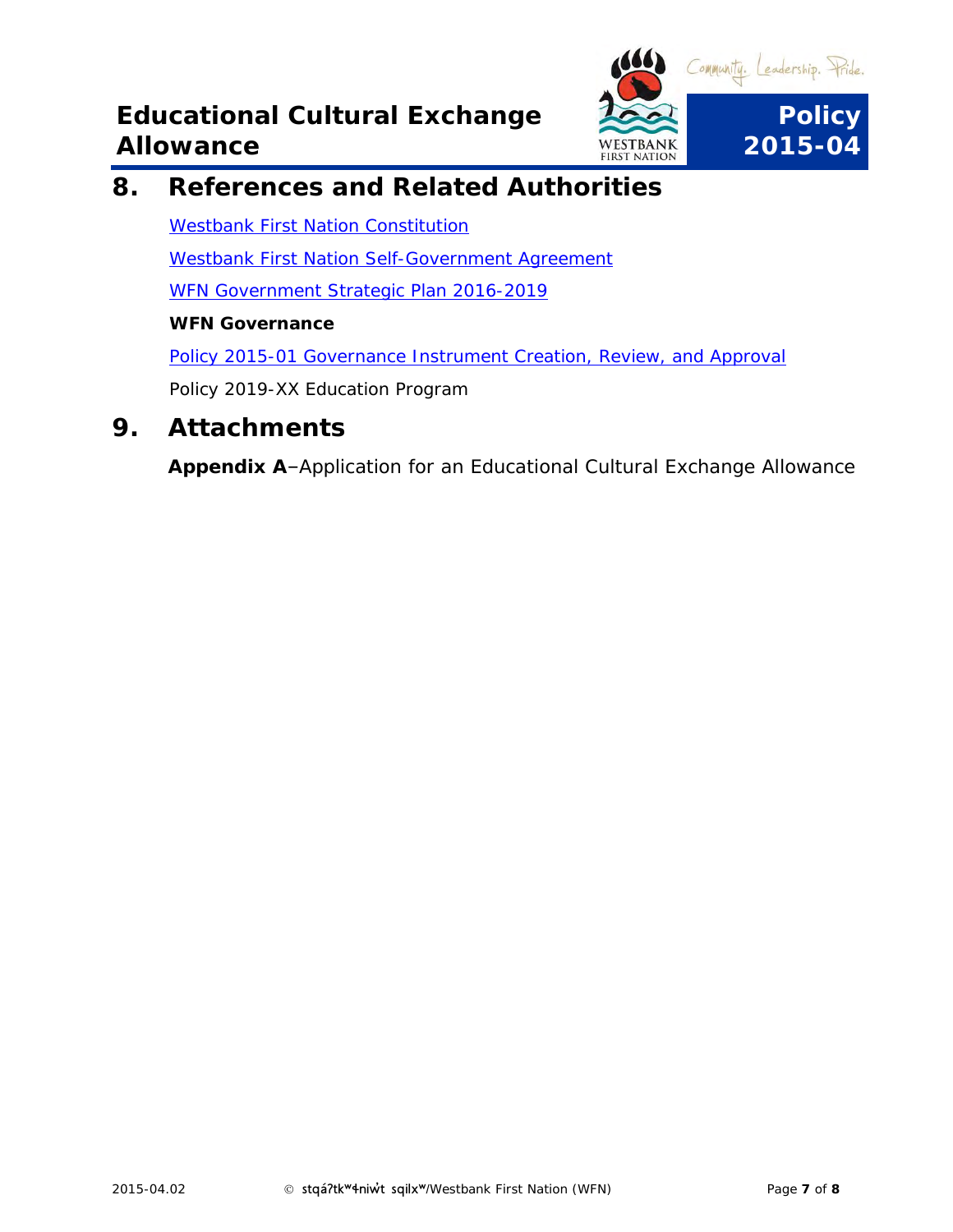

**8. References and Related Authorities**

[Westbank First Nation Constitution](https://www.wfn.ca/docs/wfn-constitution.pdf)

[Westbank First Nation Self-Government Agreement](https://www.wfn.ca/selfgovernment.htm)

WFN [Government Strategic Plan 2016-2019](http://www.wfn.ca/black-bear/strategy.htm)

**WFN Governance**

[Policy 2015-01 Governance Instrument Creation, Review, and Approval](file://///wfnfox/public/GOVERNANCE%20INSTRUMENTS/EXECUTED%20GOVERNANCE%20INSTRUMENTS/Council%20Policies/Policy%202015-01%20Governance%20Instrument%20Creation,%20Review,%20and%20Approval.pdf)

*Policy 2019-XX Education Program*

<span id="page-6-0"></span>**9. Attachments**

**Appendix A**–Application for an Educational Cultural Exchange Allowance